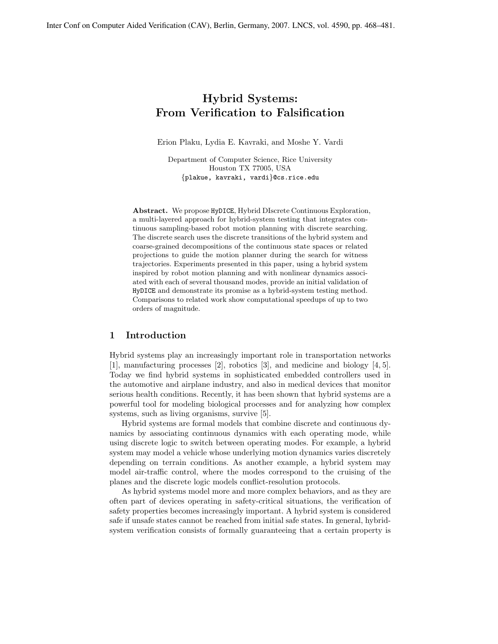# Hybrid Systems: From Verification to Falsification

Erion Plaku, Lydia E. Kavraki, and Moshe Y. Vardi

Department of Computer Science, Rice University Houston TX 77005, USA {plakue, kavraki, vardi}@cs.rice.edu

Abstract. We propose HyDICE, Hybrid DIscrete Continuous Exploration, a multi-layered approach for hybrid-system testing that integrates continuous sampling-based robot motion planning with discrete searching. The discrete search uses the discrete transitions of the hybrid system and coarse-grained decompositions of the continuous state spaces or related projections to guide the motion planner during the search for witness trajectories. Experiments presented in this paper, using a hybrid system inspired by robot motion planning and with nonlinear dynamics associated with each of several thousand modes, provide an initial validation of HyDICE and demonstrate its promise as a hybrid-system testing method. Comparisons to related work show computational speedups of up to two orders of magnitude.

# 1 Introduction

Hybrid systems play an increasingly important role in transportation networks [1], manufacturing processes [2], robotics [3], and medicine and biology [4, 5]. Today we find hybrid systems in sophisticated embedded controllers used in the automotive and airplane industry, and also in medical devices that monitor serious health conditions. Recently, it has been shown that hybrid systems are a powerful tool for modeling biological processes and for analyzing how complex systems, such as living organisms, survive [5].

Hybrid systems are formal models that combine discrete and continuous dynamics by associating continuous dynamics with each operating mode, while using discrete logic to switch between operating modes. For example, a hybrid system may model a vehicle whose underlying motion dynamics varies discretely depending on terrain conditions. As another example, a hybrid system may model air-traffic control, where the modes correspond to the cruising of the planes and the discrete logic models conflict-resolution protocols.

As hybrid systems model more and more complex behaviors, and as they are often part of devices operating in safety-critical situations, the verification of safety properties becomes increasingly important. A hybrid system is considered safe if unsafe states cannot be reached from initial safe states. In general, hybridsystem verification consists of formally guaranteeing that a certain property is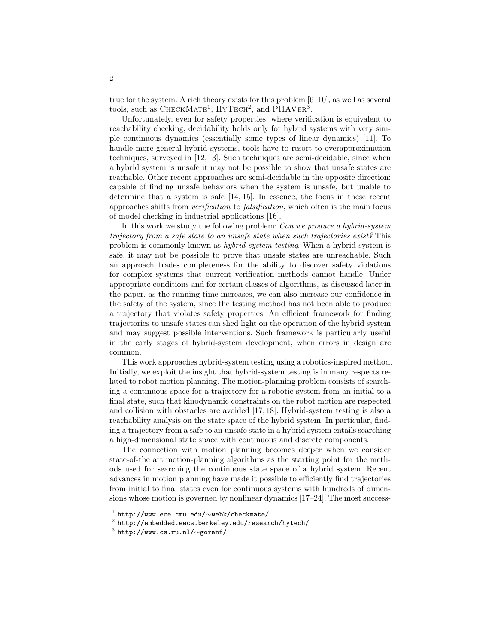true for the system. A rich theory exists for this problem [6–10], as well as several tools, such as CHECKMATE<sup>1</sup>, HYTECH<sup>2</sup>, and PHAVER<sup>3</sup>.

Unfortunately, even for safety properties, where verification is equivalent to reachability checking, decidability holds only for hybrid systems with very simple continuous dynamics (essentially some types of linear dynamics) [11]. To handle more general hybrid systems, tools have to resort to overapproximation techniques, surveyed in [12, 13]. Such techniques are semi-decidable, since when a hybrid system is unsafe it may not be possible to show that unsafe states are reachable. Other recent approaches are semi-decidable in the opposite direction: capable of finding unsafe behaviors when the system is unsafe, but unable to determine that a system is safe [14, 15]. In essence, the focus in these recent approaches shifts from verification to falsification, which often is the main focus of model checking in industrial applications [16].

In this work we study the following problem: Can we produce a hybrid-system trajectory from a safe state to an unsafe state when such trajectories exist? This problem is commonly known as hybrid-system testing. When a hybrid system is safe, it may not be possible to prove that unsafe states are unreachable. Such an approach trades completeness for the ability to discover safety violations for complex systems that current verification methods cannot handle. Under appropriate conditions and for certain classes of algorithms, as discussed later in the paper, as the running time increases, we can also increase our confidence in the safety of the system, since the testing method has not been able to produce a trajectory that violates safety properties. An efficient framework for finding trajectories to unsafe states can shed light on the operation of the hybrid system and may suggest possible interventions. Such framework is particularly useful in the early stages of hybrid-system development, when errors in design are common.

This work approaches hybrid-system testing using a robotics-inspired method. Initially, we exploit the insight that hybrid-system testing is in many respects related to robot motion planning. The motion-planning problem consists of searching a continuous space for a trajectory for a robotic system from an initial to a final state, such that kinodynamic constraints on the robot motion are respected and collision with obstacles are avoided [17, 18]. Hybrid-system testing is also a reachability analysis on the state space of the hybrid system. In particular, finding a trajectory from a safe to an unsafe state in a hybrid system entails searching a high-dimensional state space with continuous and discrete components.

The connection with motion planning becomes deeper when we consider state-of-the art motion-planning algorithms as the starting point for the methods used for searching the continuous state space of a hybrid system. Recent advances in motion planning have made it possible to efficiently find trajectories from initial to final states even for continuous systems with hundreds of dimensions whose motion is governed by nonlinear dynamics [17–24]. The most success-

<sup>1</sup> http://www.ece.cmu.edu/∼webk/checkmate/

<sup>2</sup> http://embedded.eecs.berkeley.edu/research/hytech/

<sup>3</sup> http://www.cs.ru.nl/∼goranf/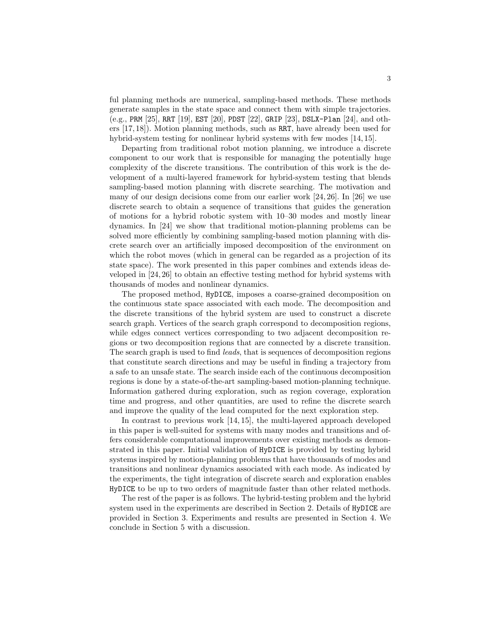ful planning methods are numerical, sampling-based methods. These methods generate samples in the state space and connect them with simple trajectories. (e.g., PRM [25], RRT [19], EST [20], PDST [22], GRIP [23], DSLX-Plan [24], and others [17, 18]). Motion planning methods, such as RRT, have already been used for hybrid-system testing for nonlinear hybrid systems with few modes [14, 15].

Departing from traditional robot motion planning, we introduce a discrete component to our work that is responsible for managing the potentially huge complexity of the discrete transitions. The contribution of this work is the development of a multi-layered framework for hybrid-system testing that blends sampling-based motion planning with discrete searching. The motivation and many of our design decisions come from our earlier work [24, 26]. In [26] we use discrete search to obtain a sequence of transitions that guides the generation of motions for a hybrid robotic system with 10–30 modes and mostly linear dynamics. In [24] we show that traditional motion-planning problems can be solved more efficiently by combining sampling-based motion planning with discrete search over an artificially imposed decomposition of the environment on which the robot moves (which in general can be regarded as a projection of its state space). The work presented in this paper combines and extends ideas developed in [24, 26] to obtain an effective testing method for hybrid systems with thousands of modes and nonlinear dynamics.

The proposed method, HyDICE, imposes a coarse-grained decomposition on the continuous state space associated with each mode. The decomposition and the discrete transitions of the hybrid system are used to construct a discrete search graph. Vertices of the search graph correspond to decomposition regions, while edges connect vertices corresponding to two adjacent decomposition regions or two decomposition regions that are connected by a discrete transition. The search graph is used to find leads, that is sequences of decomposition regions that constitute search directions and may be useful in finding a trajectory from a safe to an unsafe state. The search inside each of the continuous decomposition regions is done by a state-of-the-art sampling-based motion-planning technique. Information gathered during exploration, such as region coverage, exploration time and progress, and other quantities, are used to refine the discrete search and improve the quality of the lead computed for the next exploration step.

In contrast to previous work [14, 15], the multi-layered approach developed in this paper is well-suited for systems with many modes and transitions and offers considerable computational improvements over existing methods as demonstrated in this paper. Initial validation of HyDICE is provided by testing hybrid systems inspired by motion-planning problems that have thousands of modes and transitions and nonlinear dynamics associated with each mode. As indicated by the experiments, the tight integration of discrete search and exploration enables HyDICE to be up to two orders of magnitude faster than other related methods.

The rest of the paper is as follows. The hybrid-testing problem and the hybrid system used in the experiments are described in Section 2. Details of HyDICE are provided in Section 3. Experiments and results are presented in Section 4. We conclude in Section 5 with a discussion.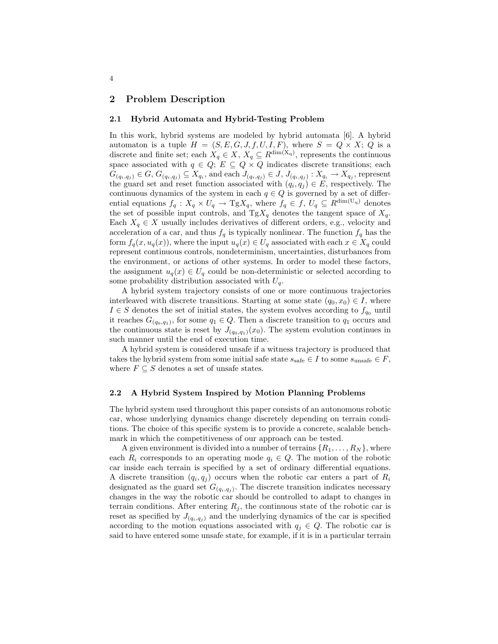## 2 Problem Description

## 2.1 Hybrid Automata and Hybrid-Testing Problem

In this work, hybrid systems are modeled by hybrid automata [6]. A hybrid automaton is a tuple  $H = (S, E, G, J, f, U, I, F)$ , where  $S = Q \times X$ ; Q is a discrete and finite set; each  $X_q \in X$ ,  $X_q \subseteq R^{\dim(X_q)}$ , represents the continuous space associated with  $q \in Q$ ;  $E \subseteq Q \times Q$  indicates discrete transitions; each  $G_{(q_i,q_j)} \in G, G_{(q_i,q_j)} \subseteq X_{q_i}$ , and each  $J_{(q_i,q_j)} \in J, J_{(q_i,q_j)}: X_{q_i} \to X_{q_j}$ , represent the guard set and reset function associated with  $(q_i, q_j) \in E$ , respectively. The continuous dynamics of the system in each  $q \in Q$  is governed by a set of differential equations  $f_q: X_q \times U_q \to \text{Tg}X_q$ , where  $f_q \in f$ ,  $U_q \subseteq R^{\dim(U_q)}$  denotes the set of possible input controls, and  $TgX_q$  denotes the tangent space of  $X_q$ . Each  $X_q \in X$  usually includes derivatives of different orders, e.g., velocity and acceleration of a car, and thus  $f_q$  is typically nonlinear. The function  $f_q$  has the form  $f_q(x, u_q(x))$ , where the input  $u_q(x) \in U_q$  associated with each  $x \in X_q$  could represent continuous controls, nondeterminism, uncertainties, disturbances from the environment, or actions of other systems. In order to model these factors, the assignment  $u_q(x) \in U_q$  could be non-deterministic or selected according to some probability distribution associated with  $U_q$ .

A hybrid system trajectory consists of one or more continuous trajectories interleaved with discrete transitions. Starting at some state  $(q_0, x_0) \in I$ , where  $I \in S$  denotes the set of initial states, the system evolves according to  $f_{q_0}$  until it reaches  $G_{(q_0,q_1)}$ , for some  $q_1 \in Q$ . Then a discrete transition to  $q_1$  occurs and the continuous state is reset by  $J_{(q_0,q_1)}(x_0)$ . The system evolution continues in such manner until the end of execution time.

A hybrid system is considered unsafe if a witness trajectory is produced that takes the hybrid system from some initial safe state  $s_{\text{safe}} \in I$  to some  $s_{\text{unsafe}} \in F$ , where  $F \subseteq S$  denotes a set of unsafe states.

## 2.2 A Hybrid System Inspired by Motion Planning Problems

The hybrid system used throughout this paper consists of an autonomous robotic car, whose underlying dynamics change discretely depending on terrain conditions. The choice of this specific system is to provide a concrete, scalable benchmark in which the competitiveness of our approach can be tested.

A given environment is divided into a number of terrains  $\{R_1, \ldots, R_N\}$ , where each  $R_i$  corresponds to an operating mode  $q_i \in Q$ . The motion of the robotic car inside each terrain is specified by a set of ordinary differential equations. A discrete transition  $(q_i, q_j)$  occurs when the robotic car enters a part of  $R_i$ designated as the guard set  $G_{(q_i,q_j)}$ . The discrete transition indicates necessary changes in the way the robotic car should be controlled to adapt to changes in terrain conditions. After entering  $R_j$ , the continuous state of the robotic car is reset as specified by  $J_{(q_i,q_j)}$  and the underlying dynamics of the car is specified according to the motion equations associated with  $q_j \in Q$ . The robotic car is said to have entered some unsafe state, for example, if it is in a particular terrain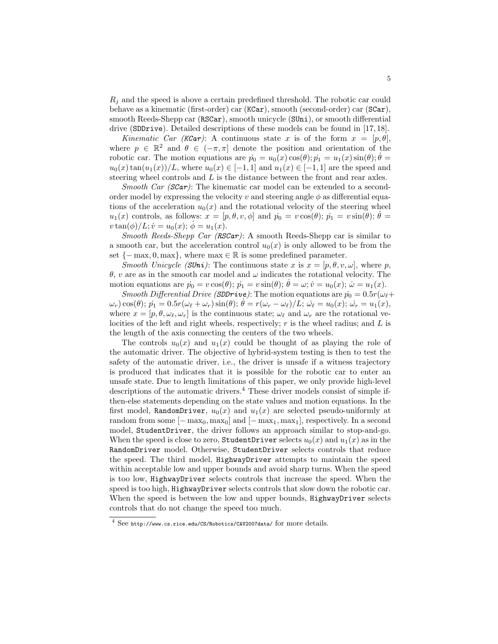$R_j$  and the speed is above a certain predefined threshold. The robotic car could behave as a kinematic (first-order) car (KCar), smooth (second-order) car (SCar), smooth Reeds-Shepp car (RSCar), smooth unicycle (SUni), or smooth differential drive (SDDrive). Detailed descriptions of these models can be found in [17, 18].

Kinematic Car (KCar): A continuous state x is of the form  $x = [p, \theta]$ , where  $p \in \mathbb{R}^2$  and  $\theta \in (-\pi, \pi]$  denote the position and orientation of the robotic car. The motion equations are  $\dot{p}_0 = u_0(x) \cos(\theta); \dot{p}_1 = u_1(x) \sin(\theta); \theta =$  $u_0(x)$  tan $(u_1(x))/L$ , where  $u_0(x) \in [-1,1]$  and  $u_1(x) \in [-1,1]$  are the speed and steering wheel controls and  $L$  is the distance between the front and rear axles.

Smooth Car ( $SCar$ ): The kinematic car model can be extended to a secondorder model by expressing the velocity v and steering angle  $\phi$  as differential equations of the acceleration  $u_0(x)$  and the rotational velocity of the steering wheel  $u_1(x)$  controls, as follows:  $x = [p, \theta, v, \phi]$  and  $\dot{p}_0 = v \cos(\theta); \dot{p}_1 = v \sin(\theta); \theta =$  $v \tan(\phi)/L; \dot{v} = u_0(x); \phi = u_1(x).$ 

Smooth Reeds-Shepp Car (RSCar): A smooth Reeds-Shepp car is similar to a smooth car, but the acceleration control  $u_0(x)$  is only allowed to be from the set  $\{-\max, 0, \max\}$ , where  $\max \in \mathbb{R}$  is some predefined parameter.

Smooth Unicycle (SUni): The continuous state x is  $x = [p, \theta, v, \omega]$ , where p,  $\theta$ , v are as in the smooth car model and  $\omega$  indicates the rotational velocity. The motion equations are  $\dot{p}_0 = v \cos(\theta); \, \dot{p}_1 = v \sin(\theta); \, \theta = \omega; \dot{v} = u_0(x); \, \dot{\omega} = u_1(x).$ 

Smooth Differential Drive (SDDrive): The motion equations are  $\dot{p}_0 = 0.5r(\omega_\ell +$  $(\omega_r)\cos(\theta); p_1 = 0.5r(\omega_\ell + \omega_r)\sin(\theta); \dot{\theta} = r(\omega_r - \omega_\ell)/L; \dot{\omega}_\ell = u_0(x); \dot{\omega}_r = u_1(x),$ where  $x = [p, \theta, \omega_{\ell}, \omega_r]$  is the continuous state;  $\omega_{\ell}$  and  $\omega_r$  are the rotational velocities of the left and right wheels, respectively;  $r$  is the wheel radius; and  $L$  is the length of the axis connecting the centers of the two wheels.

The controls  $u_0(x)$  and  $u_1(x)$  could be thought of as playing the role of the automatic driver. The objective of hybrid-system testing is then to test the safety of the automatic driver, i.e., the driver is unsafe if a witness trajectory is produced that indicates that it is possible for the robotic car to enter an unsafe state. Due to length limitations of this paper, we only provide high-level descriptions of the automatic drivers.<sup>4</sup> These driver models consist of simple ifthen-else statements depending on the state values and motion equations. In the first model, RandomDriver,  $u_0(x)$  and  $u_1(x)$  are selected pseudo-uniformly at random from some  $[-\max_0, \max_0]$  and  $[-\max_1, \max_1]$ , respectively. In a second model, StudentDriver, the driver follows an approach similar to stop-and-go. When the speed is close to zero, StudentDriver selects  $u_0(x)$  and  $u_1(x)$  as in the RandomDriver model. Otherwise, StudentDriver selects controls that reduce the speed. The third model, HighwayDriver attempts to maintain the speed within acceptable low and upper bounds and avoid sharp turns. When the speed is too low, HighwayDriver selects controls that increase the speed. When the speed is too high, HighwayDriver selects controls that slow down the robotic car. When the speed is between the low and upper bounds, HighwayDriver selects controls that do not change the speed too much.

<sup>4</sup> See http://www.cs.rice.edu/CS/Robotics/CAV2007data/ for more details.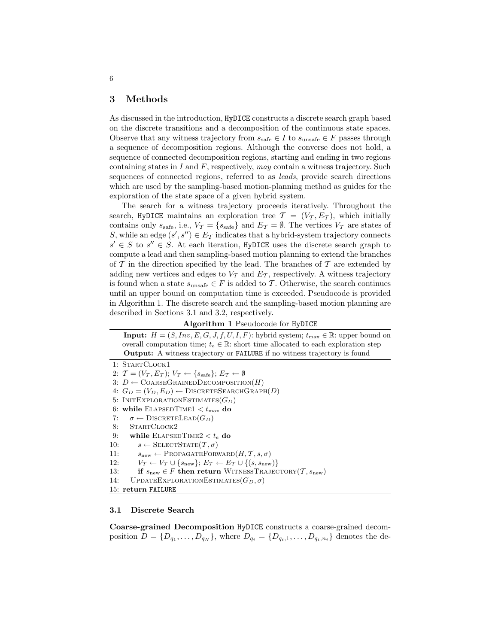### 3 Methods

As discussed in the introduction, HyDICE constructs a discrete search graph based on the discrete transitions and a decomposition of the continuous state spaces. Observe that any witness trajectory from  $s_{\text{safe}} \in I$  to  $s_{\text{unsafe}} \in F$  passes through a sequence of decomposition regions. Although the converse does not hold, a sequence of connected decomposition regions, starting and ending in two regions containing states in I and F, respectively, may contain a witness trajectory. Such sequences of connected regions, referred to as leads, provide search directions which are used by the sampling-based motion-planning method as guides for the exploration of the state space of a given hybrid system.

The search for a witness trajectory proceeds iteratively. Throughout the search, HyDICE maintains an exploration tree  $\mathcal{T} = (V_{\mathcal{T}}, E_{\mathcal{T}})$ , which initially contains only  $s_{\text{safe}}$ , i.e.,  $V_{\mathcal{I}} = \{s_{\text{safe}}\}$  and  $E_{\mathcal{I}} = \emptyset$ . The vertices  $V_{\mathcal{I}}$  are states of S, while an edge  $(s', s'') \in E_{\mathcal{T}}$  indicates that a hybrid-system trajectory connects  $s' \in S$  to  $s'' \in S$ . At each iteration, HyDICE uses the discrete search graph to compute a lead and then sampling-based motion planning to extend the branches of  $\mathcal T$  in the direction specified by the lead. The branches of  $\mathcal T$  are extended by adding new vertices and edges to  $V<sub>T</sub>$  and  $E<sub>T</sub>$ , respectively. A witness trajectory is found when a state  $s_{\text{unsafe}} \in F$  is added to  $\mathcal{T}$ . Otherwise, the search continues until an upper bound on computation time is exceeded. Pseudocode is provided in Algorithm 1. The discrete search and the sampling-based motion planning are described in Sections 3.1 and 3.2, respectively.

#### Algorithm 1 Pseudocode for HyDICE

**Input:**  $H = (S, Inv, E, G, J, f, U, I, F)$ : hybrid system;  $t_{\text{max}} \in \mathbb{R}$ : upper bound on overall computation time;  $t_e \in \mathbb{R}$ : short time allocated to each exploration step Output: A witness trajectory or FAILURE if no witness trajectory is found

```
1: STARTCLOCK1
```

```
2: \mathcal{T} = (V_{\mathcal{T}}, E_{\mathcal{T}}); V_{\mathcal{T}} \leftarrow \{s_{\text{safe}}\}; E_{\mathcal{T}} \leftarrow \emptyset
```
3:  $D \leftarrow \text{CoarseGrainEDDecomPOSITION}(H)$ 

```
4: G_D = (V_D, E_D) \leftarrow \text{DISCRETESEARCHGRAPH}(D)
```

```
5: INITEXPLORATIONESTIMATES(G_D)
```

```
6: while ELAPSEDTIME1 \lt t_{\text{max}} do
```

```
7: \sigma \leftarrow \text{DISCRETELEAD}(G_D)
```

```
8: STARTCLOCK2
```

```
9: while ELAPSEDTIME2 lt t<sub>e</sub> do
```

```
10: s \leftarrow SELECTSTATE(\mathcal{T}, \sigma)
```

```
11: s_{\text{new}} \leftarrow \text{PROPAGATEFORMARD}(H, \mathcal{T}, s, \sigma)
```

```
12: V_T \leftarrow V_T \cup \{s_{\text{new}}\}; E_T \leftarrow E_T \cup \{(s, s_{\text{new}})\}\
```

```
13: if s_{\text{new}} \in F then return WITNESSTRAJECTORY(T, s_{\text{new}})
```
14: UPDATEEXPLORATIONESTIMATES $(G_D, \sigma)$ 

```
15: return FAILURE
```
#### 3.1 Discrete Search

Coarse-grained Decomposition HyDICE constructs a coarse-grained decomposition  $D = \{D_{q_1}, \ldots, D_{q_N}\}\$ , where  $D_{q_i} = \{D_{q_i,1}, \ldots, D_{q_i,n_i}\}\$  denotes the de-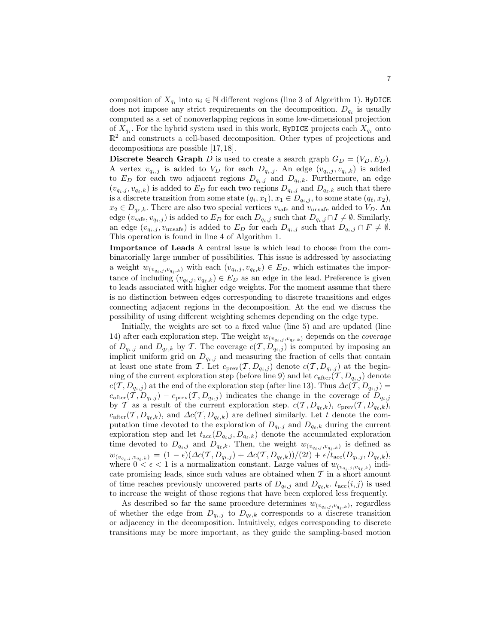composition of  $X_{q_i}$  into  $n_i \in \mathbb{N}$  different regions (line 3 of Algorithm 1). HyDICE does not impose any strict requirements on the decomposition.  $D_{q_i}$  is usually computed as a set of nonoverlapping regions in some low-dimensional projection of  $X_{q_i}$ . For the hybrid system used in this work, HyDICE projects each  $X_{q_i}$  onto  $\mathbb{R}^2$  and constructs a cell-based decomposition. Other types of projections and decompositions are possible [17, 18].

**Discrete Search Graph** D is used to create a search graph  $G_D = (V_D, E_D)$ . A vertex  $v_{q_i,j}$  is added to  $V_D$  for each  $D_{q_i,j}$ . An edge  $(v_{q_i,j}, v_{q_i,k})$  is added to  $E_D$  for each two adjacent regions  $D_{q_i,j}$  and  $D_{q_i,k}$ . Furthermore, an edge  $(v_{q_i,j}, v_{q_\ell,k})$  is added to  $E_D$  for each two regions  $D_{q_i,j}$  and  $D_{q_\ell,k}$  such that there is a discrete transition from some state  $(q_i, x_1), x_1 \in D_{q_i,j}$ , to some state  $(q_\ell, x_2)$ ,  $x_2 \in D_{q_\ell,k}$ . There are also two special vertices  $v_{\text{safe}}$  and  $v_{\text{unsafe}}$  added to  $V_D$ . An edge  $(v_{\text{safe}}, v_{q_i,j})$  is added to  $E_D$  for each  $D_{q_i,j}$  such that  $D_{q_i,j} \cap I \neq \emptyset$ . Similarly, an edge  $(v_{q_i,j}, v_{\text{unsafe}})$  is added to  $E_D$  for each  $D_{q_i,j}$  such that  $D_{q_i,j} \cap F \neq \emptyset$ . This operation is found in line 4 of Algorithm 1.

Importance of Leads A central issue is which lead to choose from the combinatorially large number of possibilities. This issue is addressed by associating a weight  $w_{(v_{q_i},j,v_{q_\ell,k})}$  with each  $(v_{q_i,j},v_{q_\ell,k}) \in E_D$ , which estimates the importance of including  $(v_{q_i,j}, v_{q_\ell,k}) \in E_D$  as an edge in the lead. Preference is given to leads associated with higher edge weights. For the moment assume that there is no distinction between edges corresponding to discrete transitions and edges connecting adjacent regions in the decomposition. At the end we discuss the possibility of using different weighting schemes depending on the edge type.

Initially, the weights are set to a fixed value (line 5) and are updated (line 14) after each exploration step. The weight  $w_{(v_{q_i,j}, v_{q_\ell,k})}$  depends on the *coverage* of  $D_{q_i,j}$  and  $D_{q_\ell,k}$  by T. The coverage  $c(\mathcal{T}, D_{q_i,j})$  is computed by imposing an implicit uniform grid on  $D_{q_i,j}$  and measuring the fraction of cells that contain at least one state from T. Let  $c_{\text{prev}}(T, D_{q_i,j})$  denote  $c(T, D_{q_i,j})$  at the beginning of the current exploration step (before line 9) and let  $c_{after}(\mathcal{T}, D_{q_i,j})$  denote  $c(\mathcal{T}, D_{q_i,j})$  at the end of the exploration step (after line 13). Thus  $\Delta c(\mathcal{T}, D_{q_i,j}) =$  $c_{\text{after}}(\mathcal{T}, D_{q_i,j}) - c_{\text{prev}}(\mathcal{T}, D_{q_i,j})$  indicates the change in the coverage of  $D_{q_i,j}$ by T as a result of the current exploration step.  $c(T, D_{q_\ell,k}), c_{\text{prev}}(T, D_{q_\ell,k}),$  $c_{\text{after}}(\mathcal{T}, D_{q_{\ell},k})$ , and  $\Delta c(\mathcal{T}, D_{q_{\ell},k})$  are defined similarly. Let t denote the computation time devoted to the exploration of  $D_{q_i,j}$  and  $D_{q_\ell,k}$  during the current exploration step and let  $t_{\text{acc}}(D_{q_i,j}, D_{q_\ell,k})$  denote the accumulated exploration time devoted to  $D_{q_i,j}$  and  $D_{q_\ell,k}$ . Then, the weight  $w_{(v_{q_i,j},v_{q_\ell,k})}$  is defined as  $w_{(v_{q_i,j},v_{q_\ell,k})} = (1-\epsilon)(\Delta c(\mathcal{T},D_{q_i,j}) + \Delta c(\mathcal{T},D_{q_\ell,k}))/ (2t) + \epsilon/t_{\rm acc}(D_{q_i,j},D_{q_\ell,k}),$ where  $0 < \epsilon < 1$  is a normalization constant. Large values of  $w_{(v_{q_i,j}, v_{q_\ell}, k)}$  indicate promising leads, since such values are obtained when  $\mathcal T$  in a short amount of time reaches previously uncovered parts of  $D_{q_i,j}$  and  $D_{q_\ell,k}$ .  $t_{\text{acc}}(i,j)$  is used to increase the weight of those regions that have been explored less frequently.

As described so far the same procedure determines  $w_{(v_{q_i,j},v_{q_\ell,k})}$ , regardless of whether the edge from  $D_{q_i,j}$  to  $D_{q_\ell,k}$  corresponds to a discrete transition or adjacency in the decomposition. Intuitively, edges corresponding to discrete transitions may be more important, as they guide the sampling-based motion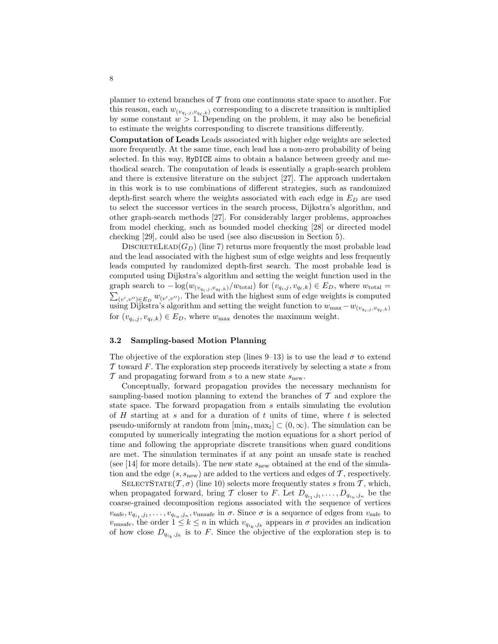planner to extend branches of  $\mathcal T$  from one continuous state space to another. For this reason, each  $w_{(v_{q_i,j}, v_{q_\ell,k})}$  corresponding to a discrete transition is multiplied by some constant  $w > 1$ . Depending on the problem, it may also be beneficial to estimate the weights corresponding to discrete transitions differently.

Computation of Leads Leads associated with higher edge weights are selected more frequently. At the same time, each lead has a non-zero probability of being selected. In this way, HyDICE aims to obtain a balance between greedy and methodical search. The computation of leads is essentially a graph-search problem and there is extensive literature on the subject [27]. The approach undertaken in this work is to use combinations of different strategies, such as randomized depth-first search where the weights associated with each edge in  $E_D$  are used to select the successor vertices in the search process, Dijkstra's algorithm, and other graph-search methods [27]. For considerably larger problems, approaches from model checking, such as bounded model checking [28] or directed model checking [29], could also be used (see also discussion in Section 5).

DISCRETELEAD( $G_D$ ) (line 7) returns more frequently the most probable lead and the lead associated with the highest sum of edge weights and less frequently leads computed by randomized depth-first search. The most probable lead is computed using Dijkstra's algorithm and setting the weight function used in the graph search to  $-\log(w_{(v_{q_i,j}, v_{q_\ell,k})}/w_{\text{total}})$  for  $(v_{q_i,j}, v_{q_\ell,k}) \in E_D$ , where  $w_{\text{total}} =$  $\sum_{(v',v'')\in E_D} w_{(v',v'')}$ . The lead with the highest sum of edge weights is computed using Dijkstra's algorithm and setting the weight function to  $w_{\text{max}} - w_{(v_{q_i,j}, v_{q_\ell,k})}$ for  $(v_{q_i,j}, v_{q_\ell,k}) \in E_D$ , where  $w_{\text{max}}$  denotes the maximum weight.

#### 3.2 Sampling-based Motion Planning

The objective of the exploration step (lines 9–13) is to use the lead  $\sigma$  to extend  $\mathcal T$  toward  $F$ . The exploration step proceeds iteratively by selecting a state s from  $\mathcal T$  and propagating forward from s to a new state  $s_{\text{new}}$ .

Conceptually, forward propagation provides the necessary mechanism for sampling-based motion planning to extend the branches of  $\mathcal T$  and explore the state space. The forward propagation from s entails simulating the evolution of  $H$  starting at  $s$  and for a duration of  $t$  units of time, where  $t$  is selected pseudo-uniformly at random from  $[\min_t, \max_t] \subset (0, \infty)$ . The simulation can be computed by numerically integrating the motion equations for a short period of time and following the appropriate discrete transitions when guard conditions are met. The simulation terminates if at any point an unsafe state is reached (see [14] for more details). The new state  $s_{\text{new}}$  obtained at the end of the simulation and the edge  $(s, s_{\text{new}})$  are added to the vertices and edges of T, respectively.

SELECTSTATE(T,  $\sigma$ ) (line 10) selects more frequently states s from T, which, when propagated forward, bring T closer to F. Let  $D_{q_{i_1},j_1}, \ldots, D_{q_{i_n},j_n}$  be the coarse-grained decomposition regions associated with the sequence of vertices  $v_{\text{safe}}, v_{q_{i_1},j_1}, \ldots, v_{q_{i_n},j_n}, v_{\text{unsafe}}$  in  $\sigma$ . Since  $\sigma$  is a sequence of edges from  $v_{\text{safe}}$  to  $v_{\text{unsafe}}$ , the order  $1 \leq k \leq n$  in which  $v_{q_{i_k},j_k}$  appears in  $\sigma$  provides an indication of how close  $D_{q_{i_k},j_k}$  is to F. Since the objective of the exploration step is to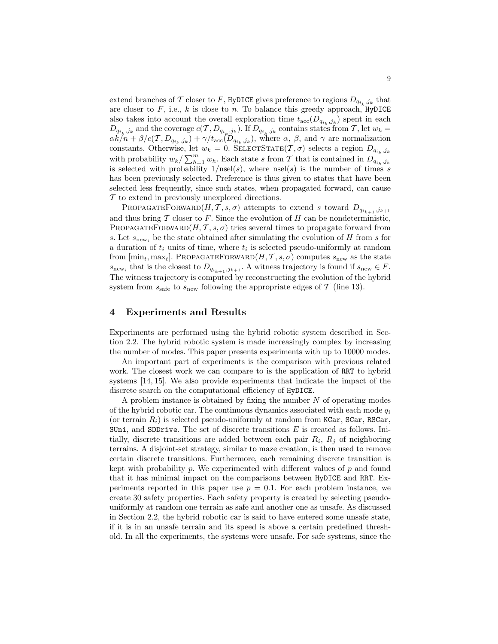extend branches of  $\mathcal T$  closer to  $F$ , HyDICE gives preference to regions  $D_{q_{i_k},j_k}$  that are closer to  $F$ , i.e.,  $k$  is close to  $n$ . To balance this greedy approach, HyDICE also takes into account the overall exploration time  $t_{\text{acc}}(D_{q_{i_k},j_k})$  spent in each  $D_{q_{i_k},j_k}$  and the coverage  $c(\mathcal{T}, D_{q_{i_k},j_k})$ . If  $D_{q_{i_k},j_k}$  contains states from  $\mathcal{T}$ , let  $w_k =$  $\alpha k/n + \beta/c(\mathcal{T}, D_{q_{i_k},j_k}) + \gamma/t_{\text{acc}}(D_{q_{i_k},j_k}),$  where  $\alpha, \beta$ , and  $\gamma$  are normalization constants. Otherwise, let  $w_k = 0$ . SELECTSTATE $(\mathcal{T}, \sigma)$  selects a region  $D_{q_{i_k}, j_k}$ with probability  $w_k / \sum_{h=1}^m w_h$ . Each state s from T that is contained in  $D_{q_{i_k},j_k}$ is selected with probability  $1/nsel(s)$ , where nsel(s) is the number of times s has been previously selected. Preference is thus given to states that have been selected less frequently, since such states, when propagated forward, can cause T to extend in previously unexplored directions.

PROPAGATEFORWARD $(H, \mathcal{T}, s, \sigma)$  attempts to extend s toward  $D_{q_{i_{k+1}}, j_{k+1}}$ and thus bring  $\mathcal T$  closer to  $F$ . Since the evolution of  $H$  can be nondeterministic, PROPAGATEFORWARD $(H, \mathcal{T}, s, \sigma)$  tries several times to propagate forward from s. Let  $s_{\text{new}}$  be the state obtained after simulating the evolution of H from s for a duration of  $t_i$  units of time, where  $t_i$  is selected pseudo-uniformly at random from  $[\min_t, \max_t]$ . PROPAGATEFORWARD $(H, \mathcal{T}, s, \sigma)$  computes  $s_{\text{new}}$  as the state  $s_{\text{new}_i}$  that is the closest to  $D_{q_{i_{k+1}},j_{k+1}}$ . A witness trajectory is found if  $s_{\text{new}} \in F$ . The witness trajectory is computed by reconstructing the evolution of the hybrid system from  $s_{\text{safe}}$  to  $s_{\text{new}}$  following the appropriate edges of T (line 13).

## 4 Experiments and Results

Experiments are performed using the hybrid robotic system described in Section 2.2. The hybrid robotic system is made increasingly complex by increasing the number of modes. This paper presents experiments with up to 10000 modes.

An important part of experiments is the comparison with previous related work. The closest work we can compare to is the application of RRT to hybrid systems [14, 15]. We also provide experiments that indicate the impact of the discrete search on the computational efficiency of HyDICE.

A problem instance is obtained by fixing the number N of operating modes of the hybrid robotic car. The continuous dynamics associated with each mode  $q_i$ (or terrain  $R_i$ ) is selected pseudo-uniformly at random from KCar, SCar, RSCar, SUni, and SDDrive. The set of discrete transitions  $E$  is created as follows. Initially, discrete transitions are added between each pair  $R_i$ ,  $R_j$  of neighboring terrains. A disjoint-set strategy, similar to maze creation, is then used to remove certain discrete transitions. Furthermore, each remaining discrete transition is kept with probability  $p$ . We experimented with different values of  $p$  and found that it has minimal impact on the comparisons between HyDICE and RRT. Experiments reported in this paper use  $p = 0.1$ . For each problem instance, we create 30 safety properties. Each safety property is created by selecting pseudouniformly at random one terrain as safe and another one as unsafe. As discussed in Section 2.2, the hybrid robotic car is said to have entered some unsafe state, if it is in an unsafe terrain and its speed is above a certain predefined threshold. In all the experiments, the systems were unsafe. For safe systems, since the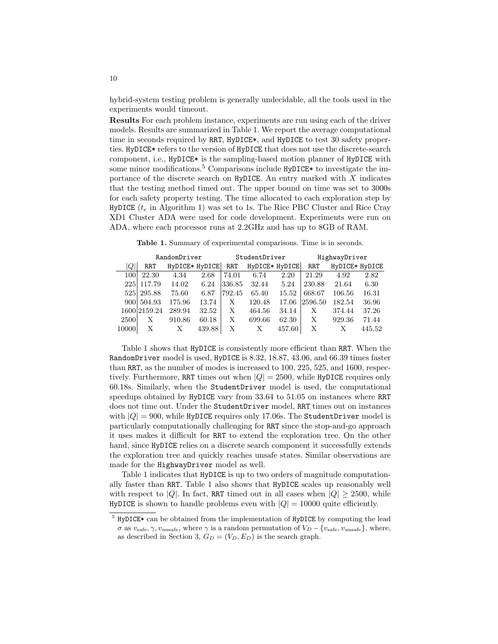hybrid-system testing problem is generally undecidable, all the tools used in the experiments would timeout.

Results For each problem instance, experiments are run using each of the driver models. Results are summarized in Table 1. We report the average computational time in seconds required by RRT, HyDICE\*, and HyDICE to test 30 safety properties. HyDICE\* refers to the version of HyDICE that does not use the discrete-search component, i.e., HyDICE\* is the sampling-based motion planner of HyDICE with some minor modifications.<sup>5</sup> Comparisons include  $HyDICE*$  to investigate the importance of the discrete search on HyDICE. An entry marked with  $X$  indicates that the testing method timed out. The upper bound on time was set to 3000s for each safety property testing. The time allocated to each exploration step by HyDICE  $(t_e$  in Algorithm 1) was set to 1s. The Rice PBC Cluster and Rice Cray XD1 Cluster ADA were used for code development. Experiments were run on ADA, where each processor runs at 2.2GHz and has up to 8GB of RAM.

Table 1. Summary of experimental comparisons. Time is in seconds.

|            | RandomDriver |                |        | StudentDriver |                |        | HighwayDriver |                |        |
|------------|--------------|----------------|--------|---------------|----------------|--------|---------------|----------------|--------|
| Q          | <b>RRT</b>   | HyDICE* HyDICE |        | <b>RRT</b>    | HyDICE* HyDICE |        | <b>RRT</b>    | HyDICE* HyDICE |        |
| <b>100</b> | 22.30        | 4.34           | 2.68   | 74.01         | 6.74           | 2.20   | 21.29         | 4.92           | 2.82   |
| <b>225</b> | 117.79       | 14.02          | 6.24   | 336.85        | 32.44          | 5.24   | 230.88        | 21.64          | 6.30   |
| 525        | 295.88       | 75.60          | 6.87   | 792.45        | 65.40          | 15.52  | 668.67        | 106.56         | 16.31  |
| 900        | 504.93       | 175.96         | 13.74  | Х             | 120.48         | 17.06  | 2596.50       | 182.54         | 36.96  |
|            | 1600 2159.24 | 289.94         | 32.52  | Х             | 464.56         | 34.14  | Х             | 374.44         | 37.26  |
| 2500       | Х            | 910.86         | 60.18  | Х             | 699.66         | 62.30  | Х             | 929.36         | 71.44  |
| 10000      | Х            | Х              | 439.88 | Х             | Х              | 457.60 | Х             | Х              | 445.52 |

Table 1 shows that HyDICE is consistently more efficient than RRT. When the RandomDriver model is used, HyDICE is 8.32, 18.87, 43.06, and 66.39 times faster than RRT, as the number of modes is increased to 100, 225, 525, and 1600, respectively. Furthermore, RRT times out when  $|Q| = 2500$ , while HyDICE requires only 60.18s. Similarly, when the StudentDriver model is used, the computational speedups obtained by HyDICE vary from 33.64 to 51.05 on instances where RRT does not time out. Under the StudentDriver model, RRT times out on instances with  $|Q| = 900$ , while HyDICE requires only 17.06s. The StudentDriver model is particularly computationally challenging for RRT since the stop-and-go approach it uses makes it difficult for RRT to extend the exploration tree. On the other hand, since HyDICE relies on a discrete search component it successfully extends the exploration tree and quickly reaches unsafe states. Similar observations are made for the HighwayDriver model as well.

Table 1 indicates that HyDICE is up to two orders of magnitude computationally faster than RRT. Table 1 also shows that HyDICE scales up reasonably well with respect to |Q|. In fact, RRT timed out in all cases when  $|Q| \geq 2500$ , while HyDICE is shown to handle problems even with  $|Q| = 10000$  quite efficiently.

10

 $5$  HyDICE\* can be obtained from the implementation of HyDICE by computing the lead  $\sigma$  as  $v_{\text{safe}}, \gamma, v_{\text{unsafe}}$ , where  $\gamma$  is a random permutation of  $V_D - \{v_{\text{safe}}, v_{\text{unsafe}}\}$ , where, as described in Section 3,  $G_D = (V_D, E_D)$  is the search graph.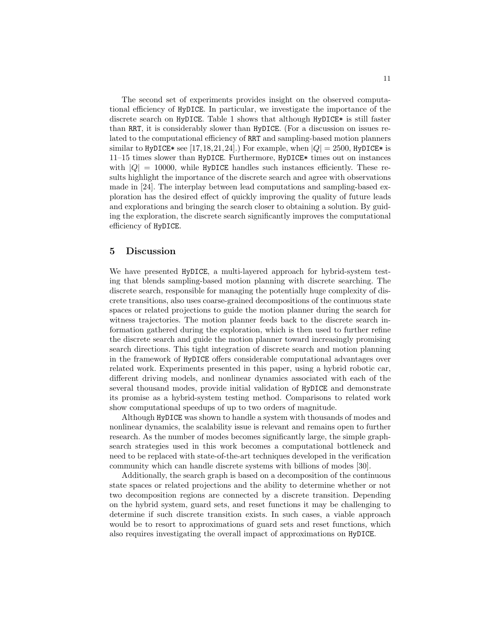The second set of experiments provides insight on the observed computational efficiency of HyDICE. In particular, we investigate the importance of the discrete search on HyDICE. Table 1 shows that although HyDICE\* is still faster than RRT, it is considerably slower than HyDICE. (For a discussion on issues related to the computational efficiency of RRT and sampling-based motion planners similar to HyDICE\* see [17,18,21,24].) For example, when  $|Q| = 2500$ , HyDICE\* is 11–15 times slower than HyDICE. Furthermore, HyDICE\* times out on instances with  $|Q| = 10000$ , while HyDICE handles such instances efficiently. These results highlight the importance of the discrete search and agree with observations made in [24]. The interplay between lead computations and sampling-based exploration has the desired effect of quickly improving the quality of future leads and explorations and bringing the search closer to obtaining a solution. By guiding the exploration, the discrete search significantly improves the computational efficiency of HyDICE.

## 5 Discussion

We have presented HyDICE, a multi-layered approach for hybrid-system testing that blends sampling-based motion planning with discrete searching. The discrete search, responsible for managing the potentially huge complexity of discrete transitions, also uses coarse-grained decompositions of the continuous state spaces or related projections to guide the motion planner during the search for witness trajectories. The motion planner feeds back to the discrete search information gathered during the exploration, which is then used to further refine the discrete search and guide the motion planner toward increasingly promising search directions. This tight integration of discrete search and motion planning in the framework of HyDICE offers considerable computational advantages over related work. Experiments presented in this paper, using a hybrid robotic car, different driving models, and nonlinear dynamics associated with each of the several thousand modes, provide initial validation of HyDICE and demonstrate its promise as a hybrid-system testing method. Comparisons to related work show computational speedups of up to two orders of magnitude.

Although HyDICE was shown to handle a system with thousands of modes and nonlinear dynamics, the scalability issue is relevant and remains open to further research. As the number of modes becomes significantly large, the simple graphsearch strategies used in this work becomes a computational bottleneck and need to be replaced with state-of-the-art techniques developed in the verification community which can handle discrete systems with billions of modes [30].

Additionally, the search graph is based on a decomposition of the continuous state spaces or related projections and the ability to determine whether or not two decomposition regions are connected by a discrete transition. Depending on the hybrid system, guard sets, and reset functions it may be challenging to determine if such discrete transition exists. In such cases, a viable approach would be to resort to approximations of guard sets and reset functions, which also requires investigating the overall impact of approximations on HyDICE.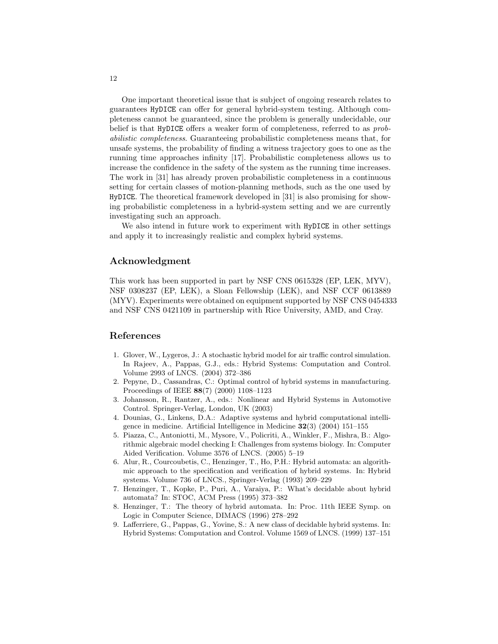One important theoretical issue that is subject of ongoing research relates to guarantees HyDICE can offer for general hybrid-system testing. Although completeness cannot be guaranteed, since the problem is generally undecidable, our belief is that HyDICE offers a weaker form of completeness, referred to as probabilistic completeness. Guaranteeing probabilistic completeness means that, for unsafe systems, the probability of finding a witness trajectory goes to one as the running time approaches infinity [17]. Probabilistic completeness allows us to increase the confidence in the safety of the system as the running time increases. The work in [31] has already proven probabilistic completeness in a continuous setting for certain classes of motion-planning methods, such as the one used by HyDICE. The theoretical framework developed in [31] is also promising for showing probabilistic completeness in a hybrid-system setting and we are currently investigating such an approach.

We also intend in future work to experiment with HyDICE in other settings and apply it to increasingly realistic and complex hybrid systems.

## Acknowledgment

This work has been supported in part by NSF CNS 0615328 (EP, LEK, MYV), NSF 0308237 (EP, LEK), a Sloan Fellowship (LEK), and NSF CCF 0613889 (MYV). Experiments were obtained on equipment supported by NSF CNS 0454333 and NSF CNS 0421109 in partnership with Rice University, AMD, and Cray.

## References

- 1. Glover, W., Lygeros, J.: A stochastic hybrid model for air traffic control simulation. In Rajeev, A., Pappas, G.J., eds.: Hybrid Systems: Computation and Control. Volume 2993 of LNCS. (2004) 372–386
- 2. Pepyne, D., Cassandras, C.: Optimal control of hybrid systems in manufacturing. Proceedings of IEEE 88(7) (2000) 1108–1123
- 3. Johansson, R., Rantzer, A., eds.: Nonlinear and Hybrid Systems in Automotive Control. Springer-Verlag, London, UK (2003)
- 4. Dounias, G., Linkens, D.A.: Adaptive systems and hybrid computational intelligence in medicine. Artificial Intelligence in Medicine 32(3) (2004) 151–155
- 5. Piazza, C., Antoniotti, M., Mysore, V., Policriti, A., Winkler, F., Mishra, B.: Algorithmic algebraic model checking I: Challenges from systems biology. In: Computer Aided Verification. Volume 3576 of LNCS. (2005) 5–19
- 6. Alur, R., Courcoubetis, C., Henzinger, T., Ho, P.H.: Hybrid automata: an algorithmic approach to the specification and verification of hybrid systems. In: Hybrid systems. Volume 736 of LNCS., Springer-Verlag (1993) 209–229
- 7. Henzinger, T., Kopke, P., Puri, A., Varaiya, P.: What's decidable about hybrid automata? In: STOC, ACM Press (1995) 373–382
- 8. Henzinger, T.: The theory of hybrid automata. In: Proc. 11th IEEE Symp. on Logic in Computer Science, DIMACS (1996) 278–292
- 9. Lafferriere, G., Pappas, G., Yovine, S.: A new class of decidable hybrid systems. In: Hybrid Systems: Computation and Control. Volume 1569 of LNCS. (1999) 137–151